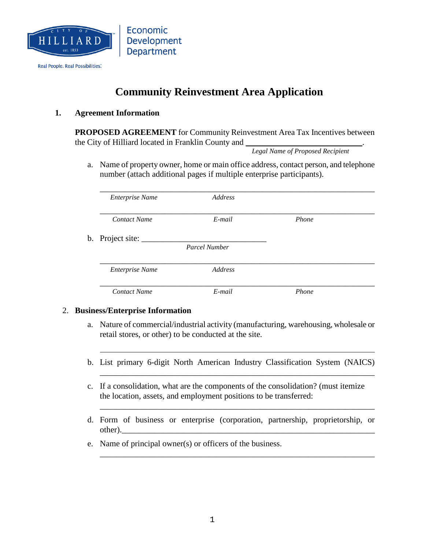

Real People. Real Possibilities.

# **Community Reinvestment Area Application**

#### **1. Agreement Information**

**PROPOSED AGREEMENT** for Community Reinvestment Area Tax Incentives between the City of Hilliard located in Franklin County and

*Legal Name of Proposed Recipient*

a. Name of property owner, home or main office address, contact person, and telephone number (attach additional pages if multiple enterprise participants).

| <b>Enterprise Name</b> | Address       |       |  |
|------------------------|---------------|-------|--|
| <b>Contact Name</b>    | $E$ -mail     | Phone |  |
| b. Project site:       |               |       |  |
|                        | Parcel Number |       |  |
| <b>Enterprise Name</b> | Address       |       |  |
| <b>Contact Name</b>    | $E$ -mail     | Phone |  |

#### 2. **Business/Enterprise Information**

- a. Nature of commercial/industrial activity (manufacturing, warehousing, wholesale or retail stores, or other) to be conducted at the site.
- b. List primary 6-digit North American Industry Classification System (NAICS)

\_\_\_\_\_\_\_\_\_\_\_\_\_\_\_\_\_\_\_\_\_\_\_\_\_\_\_\_\_\_\_\_\_\_\_\_\_\_\_\_\_\_\_\_\_\_\_\_\_\_\_\_\_\_\_\_\_\_\_\_\_\_\_\_\_\_

\_\_\_\_\_\_\_\_\_\_\_\_\_\_\_\_\_\_\_\_\_\_\_\_\_\_\_\_\_\_\_\_\_\_\_\_\_\_\_\_\_\_\_\_\_\_\_\_\_\_\_\_\_\_\_\_\_\_\_\_\_\_\_\_\_\_

\_\_\_\_\_\_\_\_\_\_\_\_\_\_\_\_\_\_\_\_\_\_\_\_\_\_\_\_\_\_\_\_\_\_\_\_\_\_\_\_\_\_\_\_\_\_\_\_\_\_\_\_\_\_\_\_\_\_\_\_\_\_\_\_\_\_

- c. If a consolidation, what are the components of the consolidation? (must itemize the location, assets, and employment positions to be transferred:
- d. Form of business or enterprise (corporation, partnership, proprietorship, or other).
- e. Name of principal owner(s) or officers of the business.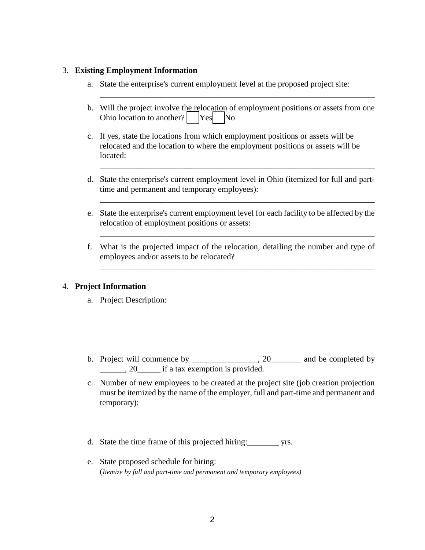#### 3. **Existing Employment Information**

- a. State the enterprise's current employment level at the proposed project site:
- b. Will the project involve the relocation of employment positions or assets from one Ohio location to another?  $Yes$  No

\_\_\_\_\_\_\_\_\_\_\_\_\_\_\_\_\_\_\_\_\_\_\_\_\_\_\_\_\_\_\_\_\_\_\_\_\_\_\_\_\_\_\_\_\_\_\_\_\_\_\_\_\_\_\_\_\_\_\_\_\_\_\_\_\_\_

- c. If yes, state the locations from which employment positions or assets will be relocated and the location to where the employment positions or assets will be located:
- d. State the enterprise's current employment level in Ohio (itemized for full and parttime and permanent and temporary employees):

\_\_\_\_\_\_\_\_\_\_\_\_\_\_\_\_\_\_\_\_\_\_\_\_\_\_\_\_\_\_\_\_\_\_\_\_\_\_\_\_\_\_\_\_\_\_\_\_\_\_\_\_\_\_\_\_\_\_\_\_\_\_\_\_\_\_

\_\_\_\_\_\_\_\_\_\_\_\_\_\_\_\_\_\_\_\_\_\_\_\_\_\_\_\_\_\_\_\_\_\_\_\_\_\_\_\_\_\_\_\_\_\_\_\_\_\_\_\_\_\_\_\_\_\_\_\_\_\_\_\_\_\_

\_\_\_\_\_\_\_\_\_\_\_\_\_\_\_\_\_\_\_\_\_\_\_\_\_\_\_\_\_\_\_\_\_\_\_\_\_\_\_\_\_\_\_\_\_\_\_\_\_\_\_\_\_\_\_\_\_\_\_\_\_\_\_\_\_\_

\_\_\_\_\_\_\_\_\_\_\_\_\_\_\_\_\_\_\_\_\_\_\_\_\_\_\_\_\_\_\_\_\_\_\_\_\_\_\_\_\_\_\_\_\_\_\_\_\_\_\_\_\_\_\_\_\_\_\_\_\_\_\_\_\_\_

- e. State the enterprise's current employment level for each facility to be affected by the relocation of employment positions or assets:
- f. What is the projected impact of the relocation, detailing the number and type of employees and/or assets to be relocated?

### 4. **Project Information**

- a. Project Description:
- b. Project will commence by  $\frac{1}{20}$ , 20 and be completed by  $\frac{1}{20}$ , 20 if a tax exemption is provided.
- c. Number of new employees to be created at the project site (job creation projection must be itemized by the name of the employer, full and part-time and permanent and temporary):
- d. State the time frame of this projected hiring: yrs.
- e. State proposed schedule for hiring: (*Itemize by full and part-time and permanent and temporary employees)*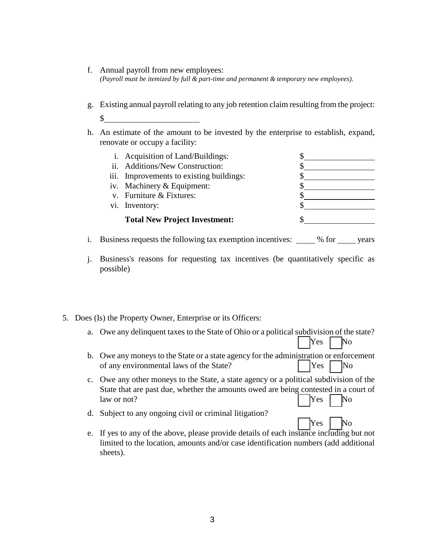- f. Annual payroll from new employees: *(Payroll must be itemized by full & part-time and permanent & temporary new employees).*
- g. Existing annual payroll relating to any job retention claim resulting from the project: \$
- h. An estimate of the amount to be invested by the enterprise to establish, expand, renovate or occupy a facility:

| i. Acquisition of Land/Buildings:        |  |
|------------------------------------------|--|
| ii. Additions/New Construction:          |  |
| iii. Improvements to existing buildings: |  |
| iv. Machinery & Equipment:               |  |
| v. Furniture & Fixtures:                 |  |
| vi. Inventory:                           |  |
| <b>Total New Project Investment:</b>     |  |
|                                          |  |

- i. Business requests the following tax exemption incentives: \_\_\_\_\_ % for \_\_\_\_\_ years
- j. Business's reasons for requesting tax incentives (be quantitatively specific as possible)
- 5. Does (Is) the Property Owner, Enterprise or its Officers:
	- a. Owe any delinquent taxes to the State of Ohio or a political subdivision of the state?

Yes No

Yes No

- b. Owe any moneys to the State or a state agency for the administration or enforcement of any environmental laws of the State? Yes No
- c. Owe any other moneys to the State, a state agency or a political subdivision of the State that are past due, whether the amounts owed are being contested in a court of  $\Box$  law or not?  $\Box$  Yes  $\Box$  No
- d. Subject to any ongoing civil or criminal litigation?
- e. If yes to any of the above, please provide details of each instance including but not limited to the location, amounts and/or case identification numbers (add additional sheets).